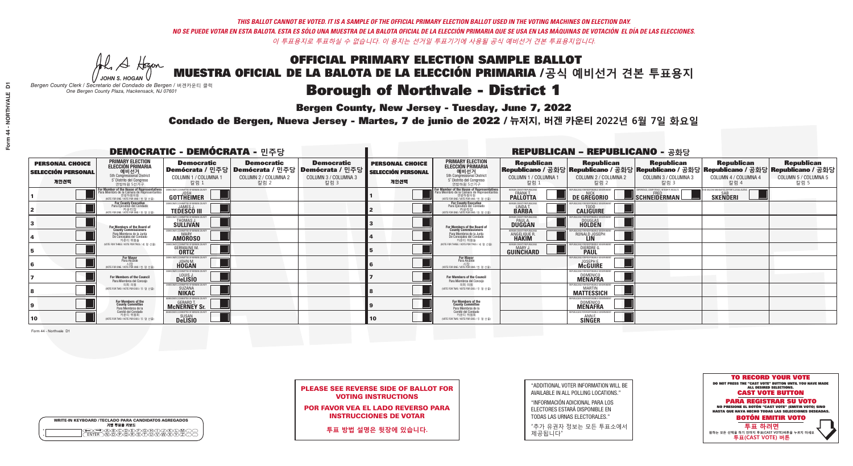A Hogan *JOHN S. HOGAN*

| <b>WRITE-IN KEYBOARD /TECLADO PARA CANDIDATOS AGREGADOS</b><br>기명 투표용 키보드 |  |
|---------------------------------------------------------------------------|--|
|                                                                           |  |

# OFFICIAL PRIMARY ELECTION SAMPLE BALLOT MUESTRA OFICIAL DE LA BALOTA DE LA ELECCIÓN PRIMARIA /**공식 예비선거 견본 투표용지**

### **Borough of Northvale - District 1**

**Bergen County, New Jersey - Tuesday, June 7, 2022** 

*Bergen County Clerk / Secretario del Condado de Bergen /* 버겐카운티 클럭 *One Bergen County Plaza, Hackensack, NJ 07601*



PLEASE SEE REVERSE SIDE OF BALLOT FOR VOTING INSTRUCTIONS

POR FAVOR VEA EL LADO REVERSO PARA INSTRUCCIONES DE VOTAR

**투표 방법 설명은 뒷장에 있습니다.**

| "ADDITIONAL VOTER INFORMATION WILL BE |
|---------------------------------------|
| AVAILABLE IN ALL POLLING LOCATIONS."  |

"INFORMACIÓN ADICIONAL PARA LOS ELECTORES ESTARÁ DISPONIBLE EN TODAS LAS URNAS ELECTORALES."

"추가 유권자 정보는 모든 투표소에서 제공됩니다"

Condado de Bergen, Nueva Jersey - Martes, 7 de junio de 2022 / 뉴저지, 버겐 카운티 2022년 6월 7일 화요일 *One Bergen County Plaza, Hackensack, NJ 07601*

| <b>DEMOCRATIC - DEMÓCRATA - 민주당</b>                         |                                                                                                                                                     |                                                                                  |                                                                                                        |                                                   |                                                             |                                                                                                                                   |                                                               | <b>REPUBLICAN - REPUBLICANO - 공화당</b>                                                                                                           |                                                                                                 |                                                               |                                                   |
|-------------------------------------------------------------|-----------------------------------------------------------------------------------------------------------------------------------------------------|----------------------------------------------------------------------------------|--------------------------------------------------------------------------------------------------------|---------------------------------------------------|-------------------------------------------------------------|-----------------------------------------------------------------------------------------------------------------------------------|---------------------------------------------------------------|-------------------------------------------------------------------------------------------------------------------------------------------------|-------------------------------------------------------------------------------------------------|---------------------------------------------------------------|---------------------------------------------------|
| <b>PERSONAL CHOICE</b><br><b>SELECCIÓN PERSONAL</b><br>개인선택 | <b>PRIMARY ELECTION</b><br>ELECCIÓN PRIMARIA<br>예비선거<br><sub>5th Congressional District</sub><br>5° Distrito del Congreso<br>연방하원 5선거구              | <b>Democratic</b><br>COLUMN 1 / COLUMNA 1<br>칼럼 :                                | <b>Democratic</b><br>│Demócrata / 민주당│Demócrata / 민주당│Demócrata / 민주당│<br>COLUMN 2 / COLUMNA 2<br>칼럼 2 | <b>Democratic</b><br>COLUMN 3 / COLUMNA 3<br>칼럼 3 | <b>PERSONAL CHOICE</b><br><b>SELECCIÓN PERSONAL</b><br>개인선택 | <b>PRIMARY ELECTION</b><br>ELECCIÓN PRIMARIA<br>5th Congressional District<br>5° Distrito del Congreso<br>연방하원 5선거구               | <b>Republican</b><br>COLUMN 1 / COLUMNA 1<br>칼럼 :             | <b>Republican</b><br>│Republicano / 공화당│Republicano / 공화당│Republicano / 공화당│Republicano / 공화당│Republicano / 공화당<br>COLUMN 2 / COLUMNA 2<br>칼럼 2 | <b>Republican</b><br>COLUMN 3 / COLUMNA 3<br>칼럼 3                                               | <b>Republican</b><br>COLUMN 4 / COLUMNA 4<br>칼럼 4             | <b>Republican</b><br>COLUMN 5 / COLUMNA 5<br>칼럼 5 |
|                                                             | <b>or Member of the House of Representatives</b><br>'ara Miembro de la Cámara de Representantes<br>연방하원의원<br>(VOTE FOR ONE / VOTE POR UNO / 한 명 선출) | GOTTHEIMER                                                                       |                                                                                                        |                                                   |                                                             | For Member of the House of Representatives<br>Para Miembro de la Cámara de Representantes<br>WOTE FOR ONE / VOTE POR UNO / 한 명 선출 | ERGEN COUNTY REPUBLICANS<br><b>PALLOTTA</b>                   | DE GREGORIO                                                                                                                                     | XPERIENCE. COMPETENCE. INTEGRITY. RESULTS<br>$\blacksquare$ Schneiderman $\mathbin{\mathsf{L}}$ | VACCINE MANDATES, DEPORT ILLEGAL ALIENS. F<br><b>SKENDERI</b> |                                                   |
|                                                             | <b>For County Executive</b><br>Para Ejecutivo del Condado<br>(VOTE FOR ONE / VOTE POR UNO / 한 명 선출)                                                 | DEMOCRATIC COMMITTEE OF BERGEN COUNTY<br><b>TEDESCO III</b>                      |                                                                                                        |                                                   |                                                             | For County Executive<br>Para Ejecutivo del Condado<br>가운티장<br>(VOTE FOR ONE / VOTE POR UNO / 한 명 선출)                              | BERGEN COUNTY REPUBLICAN<br>LINDA T.                          | <b>CALIGUIRE</b>                                                                                                                                |                                                                                                 |                                                               |                                                   |
|                                                             | For Members of the Board of<br>County Commissioners                                                                                                 | MOCRATIC COMMITTEE OF BEBGEN COU<br>THOMAS J.                                    |                                                                                                        |                                                   |                                                             | For Members of the Board of<br>County Commissioners                                                                               | ERGEN COUNTY REPUBLICAN<br><b>PAUL A.</b><br><b>DUGGAN</b>    | <b>DOUGLAS</b>                                                                                                                                  |                                                                                                 |                                                               |                                                   |
|                                                             | Para Miembros de la Junta<br>De Concejales del Condado<br>카우티 위원들                                                                                   | MOCRATIC COMMITTEE OF BERGEN COUNTY<br><b>MARY</b><br><b>AMOROSO</b>             |                                                                                                        |                                                   |                                                             | Para Miembros de la Junta<br>De Concejales del Condado<br>카운티 위원들                                                                 | <b>RGEN COUNTY REPUBLICAN</b><br><b>ANGELIQUE R<br/>HAKIM</b> | RONALD JOSEPH<br><b>LIN</b>                                                                                                                     |                                                                                                 |                                                               |                                                   |
|                                                             | (VOTE FOR THREE / VOTE POR TRES / 세 명 선출)                                                                                                           | ATIC COMMITTEE OF RERGEN<br><b>GERMAINE M.</b>                                   |                                                                                                        |                                                   |                                                             | NOTE FOR THREE / VOTE POR TRES / 세 명 선출)                                                                                          | ERGEN COUNTY REPUBLICANS<br>MARY.<br>GUIÑCHARD                | I ICANS FOR RESPONSIRI E 1<br><b>DIERDRE</b>                                                                                                    |                                                                                                 |                                                               |                                                   |
| 16                                                          | <b>For Mayor</b><br>Para Alcalde<br>시장<br>(VOTE FOR ONE / VOTE POR UNO / 한 명 선출)                                                                    | OCRATIC COMMITTEE OF BERGEN O<br><b>HOGAN</b>                                    |                                                                                                        |                                                   |                                                             | <b>For Mayor</b><br>Para Alcalde<br>시장<br>(VOTE FOR ONE / VOTE POR UNO / 한 명 선출)                                                  |                                                               | PUBLICANS FOR RESPONSIBLE GO<br><b>McGUIRE</b>                                                                                                  |                                                                                                 |                                                               |                                                   |
|                                                             | For Members of the Council<br>Para Miembros del Conceio                                                                                             | IOCRATIC COMMITTEE OF BERGEN COUNT<br>LOUIS J.<br>DeLISIO                        |                                                                                                        |                                                   |                                                             | For Members of the Council<br>Para Miembros del Conceio                                                                           |                                                               | <b>DOMENICO</b><br><b>MENAFRA</b>                                                                                                               |                                                                                                 |                                                               |                                                   |
|                                                             | 의회 의원<br>(VOTE FOR TWO / VOTE POR DOS / 두 명 선출)                                                                                                     | MOCRATIC COMMITTEE OF BERGEN COUN'<br><b>SUZANA</b><br><b>NIKAC</b>              |                                                                                                        |                                                   |                                                             | 의회 의원<br>NOTE FOR TWO / VOTE POR DOS / 두 명 선출)                                                                                    |                                                               | EPUBLICANS FOR RESPONSIBLE GOVERNMEN<br><b>MATTESSICH</b>                                                                                       |                                                                                                 |                                                               |                                                   |
| Ι9                                                          | For Members of the<br>County Committee<br>Para Miembros de la                                                                                       | OCRATIC COMMITTEE OF BERGEN COUNTY<br>GERARD <sup>-</sup><br><b>MCNERNEY Sr.</b> |                                                                                                        |                                                   |                                                             | For Members of the<br>County Committee<br>Para Miembros de la                                                                     |                                                               | PURLICANS FOR RESPONSIBLE GOVERNMEN<br><b>DOMENICO</b><br><b>MENAFRA</b>                                                                        |                                                                                                 |                                                               |                                                   |
| 10                                                          | Comité del Condado<br>카운티 위원회<br>(VOTE FOR TWO / VOTE POR DOS / 두 명 선출)                                                                             | <b>SUSAN</b>                                                                     |                                                                                                        |                                                   | 10 <sub>1</sub>                                             | Comité del Condado<br>카운티 위원회<br>(VOTE FOR TWO / VOTE POR DOS / 두 명 선출)                                                           |                                                               | PUBLICANS FOR RESPONSIBLE 6<br><b>SINGER</b>                                                                                                    |                                                                                                 |                                                               |                                                   |

Form 44 - Northvale D1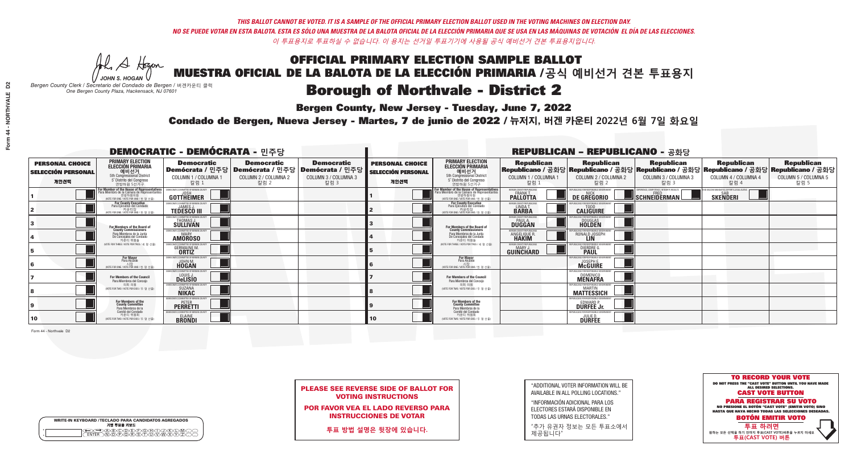A Hogan *JOHN S. HOGAN*

| <b>WRITE-IN KEYBOARD /TECLADO PARA CANDIDATOS AGREGADOS</b><br>기명 투표용 키보드 |  |
|---------------------------------------------------------------------------|--|
| >@®©®®®®®®©®®<br>`™®®®®®®©™™®®<br><b>FNTFR</b>                            |  |

# OFFICIAL PRIMARY ELECTION SAMPLE BALLOT MUESTRA OFICIAL DE LA BALOTA DE LA ELECCIÓN PRIMARIA /**공식 예비선거 견본 투표용지**

### **Borough of Northvale - District 2**

**Bergen County, New Jersey - Tuesday, June 7, 2022** 

*Bergen County Clerk / Secretario del Condado de Bergen /* 버겐카운티 클럭 *One Bergen County Plaza, Hackensack, NJ 07601*



PLEASE SEE REVERSE SIDE OF BALLOT FOR VOTING INSTRUCTIONS

POR FAVOR VEA EL LADO REVERSO PARA INSTRUCCIONES DE VOTAR

**투표 방법 설명은 뒷장에 있습니다.**

"ADDITIONAL VOTER INFORMATION WILL BE AVAILABLE IN ALL POLLING LOCATIONS."

"INFORMACIÓN ADICIONAL PARA LOS ELECTORES ESTARÁ DISPONIBLE EN TODAS LAS URNAS ELECTORALES."

"추가 유권자 정보는 모든 투표소에서 제공됩니다"

Condado de Bergen, Nueva Jersey - Martes, 7 de junio de 2022 / 뉴저지, 버겐 카운티 2022년 6월 7일 화요일 *One Bergen County Plaza, Hackensack, NJ 07601*

| <b>DEMOCRATIC - DEMÓCRATA - 민주당</b>                         |                                                                                                                                               |                                                                                   |                                                   |                                                                                                        |                                                             |                                                                                                                                           |                                                                | <b>REPUBLICAN - REPUBLICANO - 공화당</b>                                                                                                          |                                                           |                                                                |                                                   |
|-------------------------------------------------------------|-----------------------------------------------------------------------------------------------------------------------------------------------|-----------------------------------------------------------------------------------|---------------------------------------------------|--------------------------------------------------------------------------------------------------------|-------------------------------------------------------------|-------------------------------------------------------------------------------------------------------------------------------------------|----------------------------------------------------------------|------------------------------------------------------------------------------------------------------------------------------------------------|-----------------------------------------------------------|----------------------------------------------------------------|---------------------------------------------------|
| <b>PERSONAL CHOICE</b><br><b>SELECCIÓN PERSONAL</b><br>개인선택 | <b>PRIMARY ELECTION</b><br><b>ELECCIÓN PRIMARIA</b><br>예비선거<br><sup>5th</sup> Congressional District<br>5° Distrito del Congreso<br>연방하원 5선거구 | <b>Democratic</b><br>COLUMN 1 / COLUMNA 1<br>칼럼 1                                 | <b>Democratic</b><br>COLUMN 2 / COLUMNA 2<br>칼럼 2 | <b>Democratic</b><br>│Demócrata / 민주당│Demócrata / 민주당│Demócrata / 민주당│<br>COLUMN 3 / COLUMNA 3<br>칼럼 3 | <b>PERSONAL CHOICE</b><br><b>SELECCIÓN PERSONAL</b><br>개인선택 | <b>PRIMARY ELECTION</b><br><b>ELECCIÓN PRIMARIA</b><br>예비선거<br>5th Congressional District<br>5° Distrito del Congreso<br>연방하원 5선거구        | <b>Republican</b><br>COLUMN 1 / COLUMNA 1<br>칼럼 1              | <b>Republican</b><br>Republicano / 공화당 Republicano / 공화당 Republicano / 공화당 Republicano / 공화당 Republicano / 공화당<br>COLUMN 2 / COLUMNA 2<br>칼럼 2 | <b>Republican</b><br>COLUMN 3 / COLUMNA 3<br>칼럼 3         | <b>Republican</b><br>COLUMN 4 / COLUMNA 4<br>칼럼 4              | <b>Republican</b><br>COLUMN 5 / COLUMNA 5<br>칼럼 5 |
|                                                             | For Member of the House of Representatives<br>Para Miembro de la Cámara de Representantes<br>연방하원의원<br>WOTE FOR ONE / VOTE POR UNO / 한 명 선출   | DEMOCRATIC COMMITTEE OF BERGEN COUNTY<br><b>GOTTHEIMER</b>                        |                                                   |                                                                                                        |                                                             | For Member of the House of Representatives<br>ara Miembro de la Cámara de Representant<br>연방하원의원<br>(VOTE FOR ONE / VOTE POR UNO / 한 명 선출 | BERGEN COUNTY REPUBLICANS<br><b>PALLOTTA</b>                   | DE GREGORIO                                                                                                                                    | KPERIENCE, COMPETENCE, INTEGRITY, RESULTS<br>SCHNEIDERMAN | ND VACCINE MANDATES, DEPORT ILLEGAL ALIENS.<br><b>SKENDERI</b> |                                                   |
|                                                             | <b>For County Executive</b><br>Para Ejecutivo del Condado<br>가운티장<br>(VOTE FOR ONE / VOTE POR UNO / 한 명 선출)                                   | <b>EMOCRATIC COMMITTEE OF BERGEN COUNTY</b><br><b>TEDESCO III</b>                 |                                                   |                                                                                                        |                                                             | <b>For County Executive</b><br>Para Ejecutivo del Condado<br>7 카운티장<br>(VOTE FOR ONE / VOTE POR UNO / 한 명 선출)                             | BERGEN COUNTY REPUBLICAN:<br>LINDA T.                          | <b>CALIGUIRE</b>                                                                                                                               |                                                           |                                                                |                                                   |
|                                                             | For Members of the Board of<br>County Commissioners                                                                                           | <b>EMOCRATIC COMMITTEE OF BERGEN COUNT</b><br><b>THOMAS J.</b><br><b>SULLIVAN</b> |                                                   |                                                                                                        |                                                             | For Members of the Board of<br>County Commissioners                                                                                       | BERGEN COUNTY REPUBLICAN<br><b>PAUL A.</b><br><b>DUGGAN</b>    | <b>DOUGLAS</b>                                                                                                                                 |                                                           |                                                                |                                                   |
|                                                             | Para Miembros de la Junta<br>De Concejales del Condado<br>카우티 위원들                                                                             | <b>IOCRATIC COMMITTEE OF BEBGEN COUNT</b><br><b>AMOROSO</b>                       |                                                   |                                                                                                        |                                                             | Para Miembros de la Junta<br>De Concejales del Condado<br>카우티 위원들                                                                         | ERGEN COUNTY REPUBLICAN:<br><b>ANGELIQUE R</b><br><b>HAKIM</b> | RONALD JOSEPH<br><b>LIN</b>                                                                                                                    |                                                           |                                                                |                                                   |
|                                                             | NOTE FOR THREE / VOTE POR TRES / 세 명 선출)                                                                                                      | <b>GERMAINE M.</b><br><b>ORTIZ</b>                                                |                                                   |                                                                                                        |                                                             | NOTE FOR THREE / VOTE POR TRES / 세 명 선출)                                                                                                  | ERGEN COUNTY REPUBLICAN:<br><b>GUINCHARD</b>                   | DIERDRE O                                                                                                                                      |                                                           |                                                                |                                                   |
|                                                             | For Mayor<br>Para Alcalde<br>NOTE FOR ONE / VOTE POR UNO / 한 명 선원                                                                             | MOCRATIC COMMITTEE OF BERGEN COUNT<br><b>HOGAN</b>                                |                                                   |                                                                                                        |                                                             | For Mayor<br>Para Alcalde<br>NOTE FOR ONE / VOTE POR UNO / 한 명 선출                                                                         |                                                                | 'UBI ICANS FOR RESPONSIBI E G<br><b>McGUIRE</b>                                                                                                |                                                           |                                                                |                                                   |
|                                                             | For Members of the Council<br>Para Miembros del Conceio                                                                                       | MOCRATIC COMMITTEE OF BERGEN COUNTY<br>LOUIS J.                                   |                                                   |                                                                                                        |                                                             | For Members of the Council<br>Para Miembros del Concejo                                                                                   |                                                                | 'URI ICANS FOR RESPONSIBI E GOVERNMEN<br><b>DOMENICO</b><br><b>MENAFRA</b>                                                                     |                                                           |                                                                |                                                   |
|                                                             | 의회 의원<br>(VOTE FOR TWO / VOTE POR DOS / 두 명 선출)                                                                                               | <b>:RATIC COMMITTEE OF BERGEN COUNT</b><br>SUZANA<br>NIKAC                        |                                                   |                                                                                                        |                                                             | 의회 의원<br>(VOTE FOR TWO / VOTE POR DOS / 두 명 선출)                                                                                           |                                                                | FPUBLICANS FOR RESPONSIBLE GOVERNMEN<br><b>MARTIN</b><br><b>MATTESSICH</b>                                                                     |                                                           |                                                                |                                                   |
|                                                             | For Members of the<br>County Committee<br>Para Miembros de la                                                                                 | AOCRATIC COMMITTEE OF BERGEN CO'<br><b>PETER</b>                                  |                                                   |                                                                                                        |                                                             | For Members of the<br>County Committee<br>Para Miembros de la<br>Comité del Condado                                                       |                                                                | REPUBLICANS FOR RESPONSIBLE GOVERNMEN<br><b>EDWARD F</b><br><b>DURFEE Jr.</b>                                                                  |                                                           |                                                                |                                                   |
| 10                                                          | Comité del Condado<br>카운티 위원회<br>(VOTE FOR TWO / VOTE POR DOS / 두 명 선출)                                                                       | MOCRATIC COMMITTEE OF BERGEN COUNT<br><b>ELAINE</b><br><b>BRONDI</b>              |                                                   |                                                                                                        | 10                                                          | 카운티 위원회<br>(VOTE FOR TWO / VOTE POR DOS / 두 명 선출)                                                                                         |                                                                | EPUBLICANS FOR RESPONSIBLE GOVERNMEN<br><b>DURFEE</b>                                                                                          |                                                           |                                                                |                                                   |

Form 44 - Northvale D2